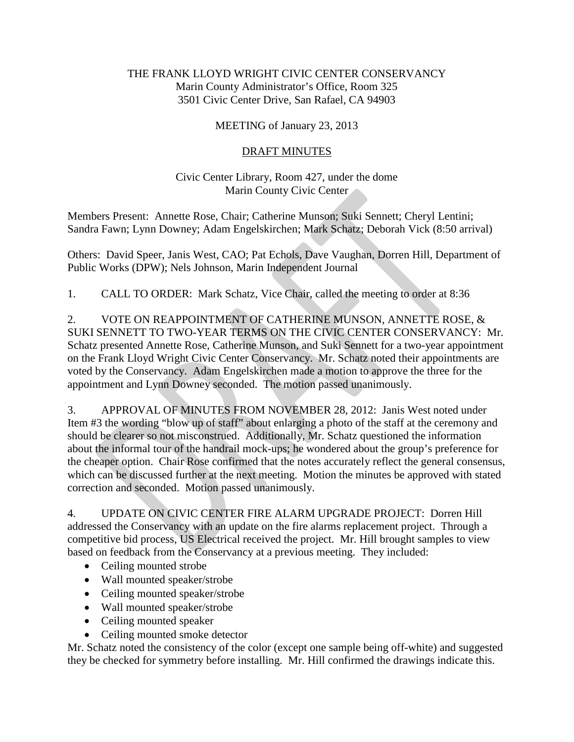## THE FRANK LLOYD WRIGHT CIVIC CENTER CONSERVANCY Marin County Administrator's Office, Room 325 3501 Civic Center Drive, San Rafael, CA 94903

## MEETING of January 23, 2013

## DRAFT MINUTES

## Civic Center Library, Room 427, under the dome Marin County Civic Center

Members Present: Annette Rose, Chair; Catherine Munson; Suki Sennett; Cheryl Lentini; Sandra Fawn; Lynn Downey; Adam Engelskirchen; Mark Schatz; Deborah Vick (8:50 arrival)

Others: David Speer, Janis West, CAO; Pat Echols, Dave Vaughan, Dorren Hill, Department of Public Works (DPW); Nels Johnson, Marin Independent Journal

1. CALL TO ORDER: Mark Schatz, Vice Chair, called the meeting to order at 8:36

2. VOTE ON REAPPOINTMENT OF CATHERINE MUNSON, ANNETTE ROSE, & SUKI SENNETT TO TWO-YEAR TERMS ON THE CIVIC CENTER CONSERVANCY: Mr. Schatz presented Annette Rose, Catherine Munson, and Suki Sennett for a two-year appointment on the Frank Lloyd Wright Civic Center Conservancy. Mr. Schatz noted their appointments are voted by the Conservancy. Adam Engelskirchen made a motion to approve the three for the appointment and Lynn Downey seconded. The motion passed unanimously.

3. APPROVAL OF MINUTES FROM NOVEMBER 28, 2012: Janis West noted under Item #3 the wording "blow up of staff" about enlarging a photo of the staff at the ceremony and should be clearer so not misconstrued. Additionally, Mr. Schatz questioned the information about the informal tour of the handrail mock-ups; he wondered about the group's preference for the cheaper option. Chair Rose confirmed that the notes accurately reflect the general consensus, which can be discussed further at the next meeting. Motion the minutes be approved with stated correction and seconded. Motion passed unanimously.

4. UPDATE ON CIVIC CENTER FIRE ALARM UPGRADE PROJECT: Dorren Hill addressed the Conservancy with an update on the fire alarms replacement project. Through a competitive bid process, US Electrical received the project. Mr. Hill brought samples to view based on feedback from the Conservancy at a previous meeting. They included:

- Ceiling mounted strobe
- Wall mounted speaker/strobe
- Ceiling mounted speaker/strobe
- Wall mounted speaker/strobe
- Ceiling mounted speaker
- Ceiling mounted smoke detector

Mr. Schatz noted the consistency of the color (except one sample being off-white) and suggested they be checked for symmetry before installing. Mr. Hill confirmed the drawings indicate this.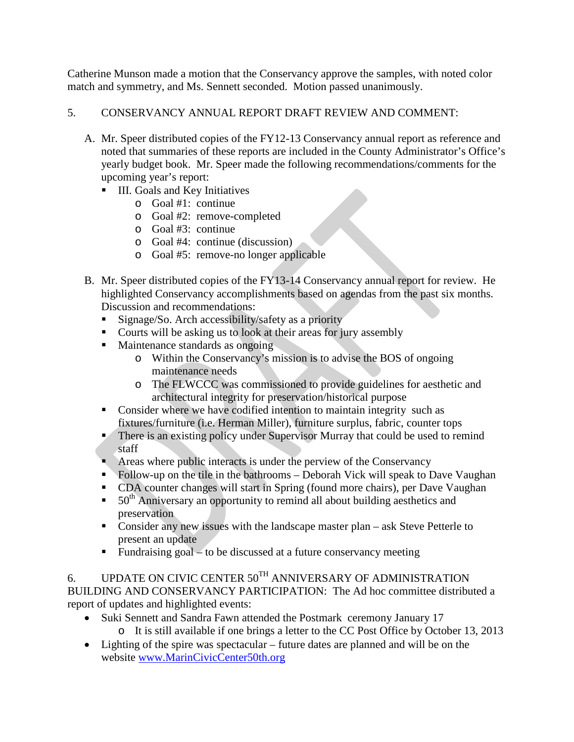Catherine Munson made a motion that the Conservancy approve the samples, with noted color match and symmetry, and Ms. Sennett seconded. Motion passed unanimously.

- 5. CONSERVANCY ANNUAL REPORT DRAFT REVIEW AND COMMENT:
	- A. Mr. Speer distributed copies of the FY12-13 Conservancy annual report as reference and noted that summaries of these reports are included in the County Administrator's Office's yearly budget book. Mr. Speer made the following recommendations/comments for the upcoming year's report:
		- **III.** Goals and Key Initiatives
			- o Goal #1: continue
			- o Goal #2: remove-completed
			- o Goal #3: continue
			- o Goal #4: continue (discussion)
			- o Goal #5: remove-no longer applicable
	- B. Mr. Speer distributed copies of the FY13-14 Conservancy annual report for review. He highlighted Conservancy accomplishments based on agendas from the past six months. Discussion and recommendations:
		- Signage/So. Arch accessibility/safety as a priority
		- Courts will be asking us to look at their areas for jury assembly
		- Maintenance standards as ongoing
			- o Within the Conservancy's mission is to advise the BOS of ongoing maintenance needs
			- o The FLWCCC was commissioned to provide guidelines for aesthetic and architectural integrity for preservation/historical purpose
		- Consider where we have codified intention to maintain integrity such as fixtures/furniture (i.e. Herman Miller), furniture surplus, fabric, counter tops
		- There is an existing policy under Supervisor Murray that could be used to remind staff
		- Areas where public interacts is under the perview of the Conservancy
		- Follow-up on the tile in the bathrooms Deborah Vick will speak to Dave Vaughan
		- CDA counter changes will start in Spring (found more chairs), per Dave Vaughan
		- $\bullet$  50<sup>th</sup> Anniversary an opportunity to remind all about building aesthetics and preservation
		- Consider any new issues with the landscape master plan ask Steve Petterle to present an update
		- Fundraising goal to be discussed at a future conservancy meeting

6. UPDATE ON CIVIC CENTER  $50^{TH}$  ANNIVERSARY OF ADMINISTRATION BUILDING AND CONSERVANCY PARTICIPATION: The Ad hoc committee distributed a report of updates and highlighted events:

- Suki Sennett and Sandra Fawn attended the Postmark ceremony January 17 o It is still available if one brings a letter to the CC Post Office by October 13, 2013
- Lighting of the spire was spectacular future dates are planned and will be on the website [www.MarinCivicCenter50th.org](http://www.marinciviccenter50th.org/)